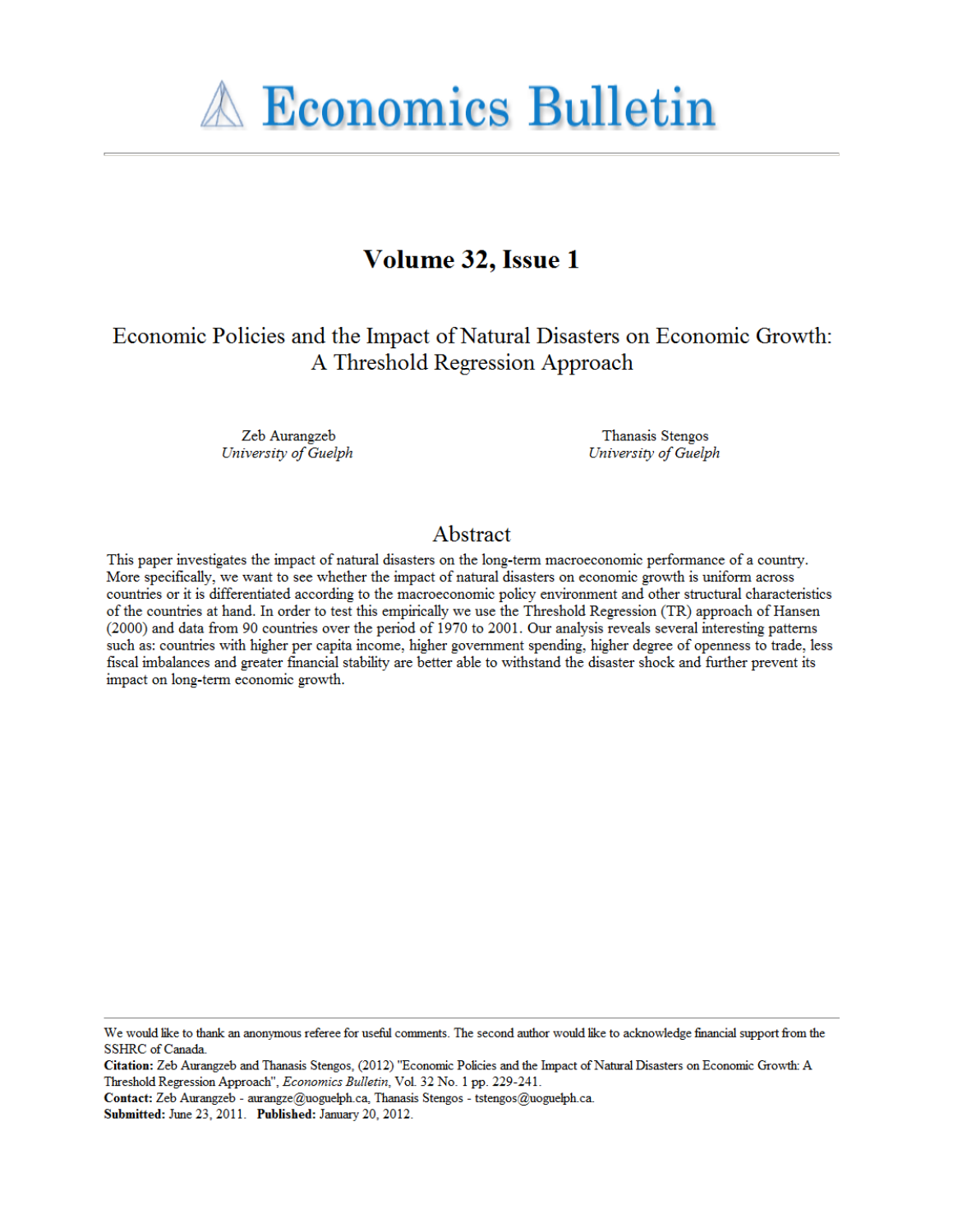**A Economics Bulletin** 

# Volume 32, Issue 1

Economic Policies and the Impact of Natural Disasters on Economic Growth: A Threshold Regression Approach

> Zeb Aurangzeb University of Guelph

Thanasis Stengos University of Guelph

# Abstract

This paper investigates the impact of natural disasters on the long-term macroeconomic performance of a country. More specifically, we want to see whether the impact of natural disasters on economic growth is uniform across countries or it is differentiated according to the macroeconomic policy environment and other structural characteristics of the countries at hand. In order to test this empirically we use the Threshold Regression (TR) approach of Hansen (2000) and data from 90 countries over the period of 1970 to 2001. Our analysis reveals several interesting patterns such as: countries with higher per capita income, higher government spending, higher degree of openness to trade, less fiscal imbalances and greater financial stability are better able to withstand the disaster shock and further prevent its impact on long-term economic growth.

We would like to thank an anonymous referee for useful comments. The second author would like to acknowledge financial support from the SSHRC of Canada.

Citation: Zeb Aurangzeb and Thanasis Stengos, (2012) "Economic Policies and the Impact of Natural Disasters on Economic Growth: A Threshold Regression Approach", Economics Bulletin, Vol. 32 No. 1 pp. 229-241.

Contact: Zeb Aurangzeb - aurangze@uoguelph.ca, Thanasis Stengos - tstengos@uoguelph.ca.

Submitted: June 23, 2011. Published: January 20, 2012.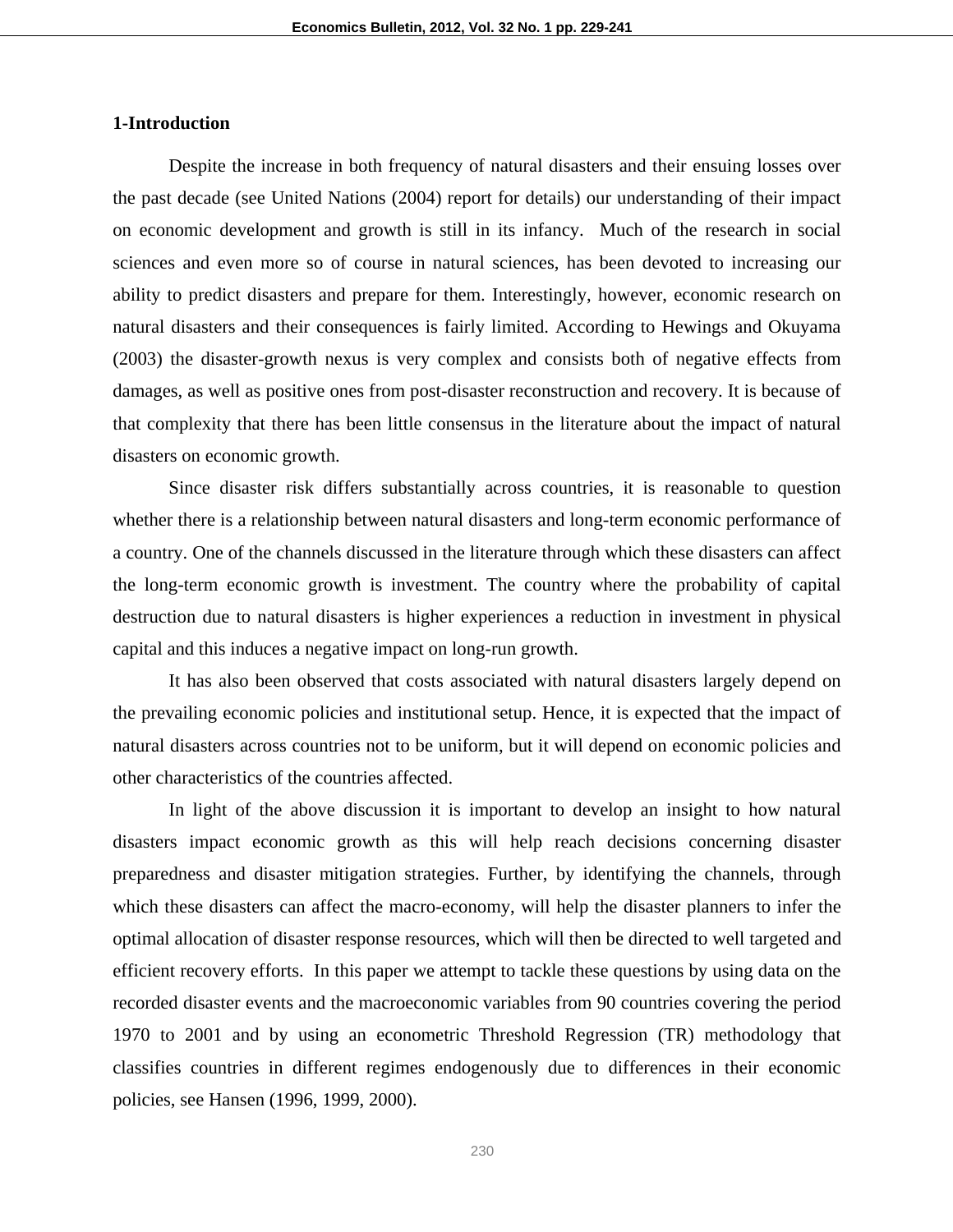# **1-Introduction**

Despite the increase in both frequency of natural disasters and their ensuing losses over the past decade (see United Nations (2004) report for details) our understanding of their impact on economic development and growth is still in its infancy. Much of the research in social sciences and even more so of course in natural sciences, has been devoted to increasing our ability to predict disasters and prepare for them. Interestingly, however, economic research on natural disasters and their consequences is fairly limited. According to Hewings and Okuyama (2003) the disaster-growth nexus is very complex and consists both of negative effects from damages, as well as positive ones from post-disaster reconstruction and recovery. It is because of that complexity that there has been little consensus in the literature about the impact of natural disasters on economic growth.

Since disaster risk differs substantially across countries, it is reasonable to question whether there is a relationship between natural disasters and long-term economic performance of a country. One of the channels discussed in the literature through which these disasters can affect the long-term economic growth is investment. The country where the probability of capital destruction due to natural disasters is higher experiences a reduction in investment in physical capital and this induces a negative impact on long-run growth.

It has also been observed that costs associated with natural disasters largely depend on the prevailing economic policies and institutional setup. Hence, it is expected that the impact of natural disasters across countries not to be uniform, but it will depend on economic policies and other characteristics of the countries affected.

In light of the above discussion it is important to develop an insight to how natural disasters impact economic growth as this will help reach decisions concerning disaster preparedness and disaster mitigation strategies. Further, by identifying the channels, through which these disasters can affect the macro-economy, will help the disaster planners to infer the optimal allocation of disaster response resources, which will then be directed to well targeted and efficient recovery efforts. In this paper we attempt to tackle these questions by using data on the recorded disaster events and the macroeconomic variables from 90 countries covering the period 1970 to 2001 and by using an econometric Threshold Regression (TR) methodology that classifies countries in different regimes endogenously due to differences in their economic policies, see Hansen (1996, 1999, 2000).

230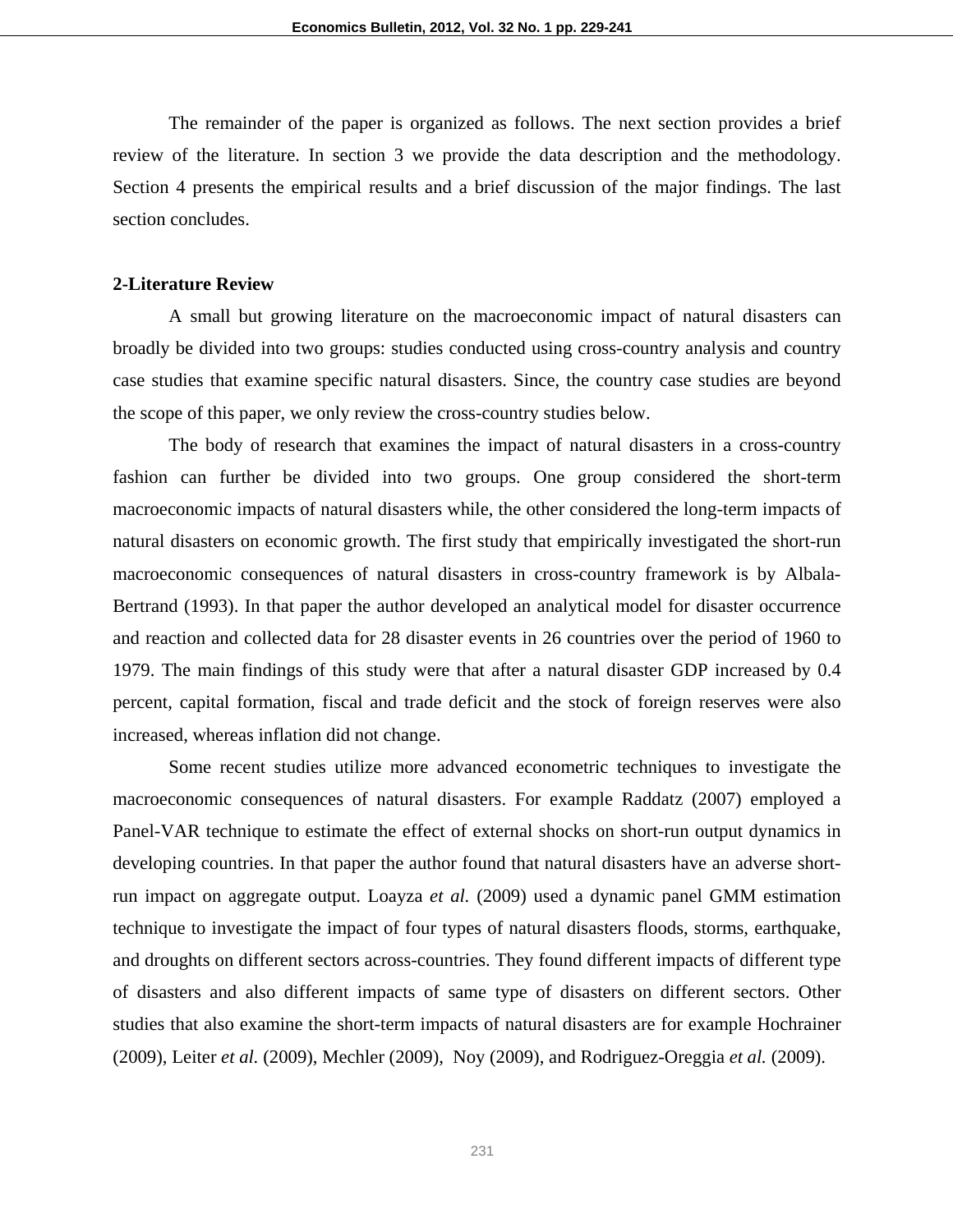The remainder of the paper is organized as follows. The next section provides a brief review of the literature. In section 3 we provide the data description and the methodology. Section 4 presents the empirical results and a brief discussion of the major findings. The last section concludes.

# **2-Literature Review**

A small but growing literature on the macroeconomic impact of natural disasters can broadly be divided into two groups: studies conducted using cross-country analysis and country case studies that examine specific natural disasters. Since, the country case studies are beyond the scope of this paper, we only review the cross-country studies below.

 The body of research that examines the impact of natural disasters in a cross-country fashion can further be divided into two groups. One group considered the short-term macroeconomic impacts of natural disasters while, the other considered the long-term impacts of natural disasters on economic growth. The first study that empirically investigated the short-run macroeconomic consequences of natural disasters in cross-country framework is by Albala-Bertrand (1993). In that paper the author developed an analytical model for disaster occurrence and reaction and collected data for 28 disaster events in 26 countries over the period of 1960 to 1979. The main findings of this study were that after a natural disaster GDP increased by 0.4 percent, capital formation, fiscal and trade deficit and the stock of foreign reserves were also increased, whereas inflation did not change.

Some recent studies utilize more advanced econometric techniques to investigate the macroeconomic consequences of natural disasters. For example Raddatz (2007) employed a Panel-VAR technique to estimate the effect of external shocks on short-run output dynamics in developing countries. In that paper the author found that natural disasters have an adverse shortrun impact on aggregate output. Loayza *et al.* (2009) used a dynamic panel GMM estimation technique to investigate the impact of four types of natural disasters floods, storms, earthquake, and droughts on different sectors across-countries. They found different impacts of different type of disasters and also different impacts of same type of disasters on different sectors. Other studies that also examine the short-term impacts of natural disasters are for example Hochrainer (2009), Leiter *et al.* (2009), Mechler (2009), Noy (2009), and Rodriguez-Oreggia *et al.* (2009).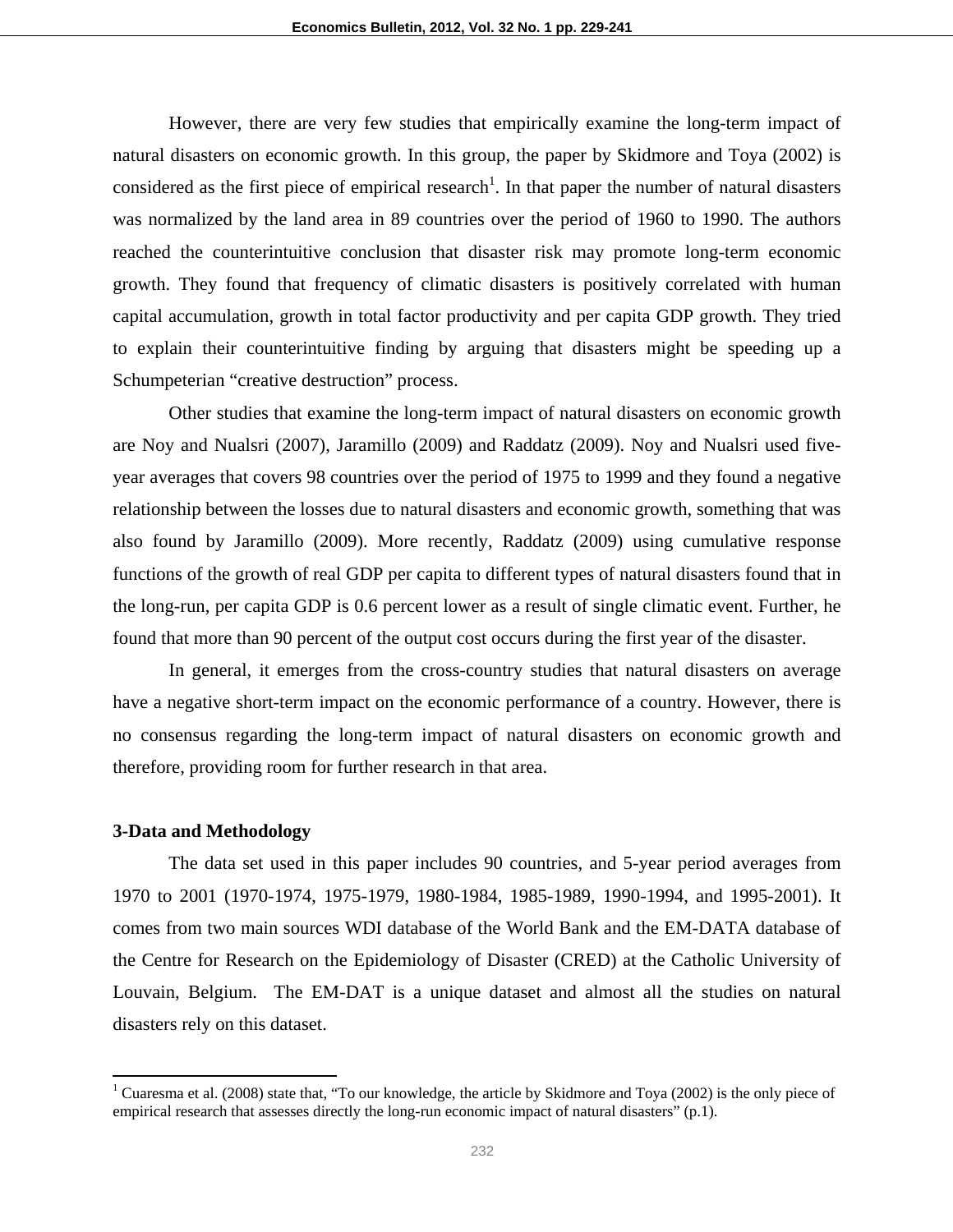However, there are very few studies that empirically examine the long-term impact of natural disasters on economic growth. In this group, the paper by Skidmore and Toya (2002) is considered as the first piece of empirical research<sup>1</sup>. In that paper the number of natural disasters was normalized by the land area in 89 countries over the period of 1960 to 1990. The authors reached the counterintuitive conclusion that disaster risk may promote long-term economic growth. They found that frequency of climatic disasters is positively correlated with human capital accumulation, growth in total factor productivity and per capita GDP growth. They tried to explain their counterintuitive finding by arguing that disasters might be speeding up a Schumpeterian "creative destruction" process.

Other studies that examine the long-term impact of natural disasters on economic growth are Noy and Nualsri (2007), Jaramillo (2009) and Raddatz (2009). Noy and Nualsri used fiveyear averages that covers 98 countries over the period of 1975 to 1999 and they found a negative relationship between the losses due to natural disasters and economic growth, something that was also found by Jaramillo (2009). More recently, Raddatz (2009) using cumulative response functions of the growth of real GDP per capita to different types of natural disasters found that in the long-run, per capita GDP is 0.6 percent lower as a result of single climatic event. Further, he found that more than 90 percent of the output cost occurs during the first year of the disaster.

In general, it emerges from the cross-country studies that natural disasters on average have a negative short-term impact on the economic performance of a country. However, there is no consensus regarding the long-term impact of natural disasters on economic growth and therefore, providing room for further research in that area.

#### **3-Data and Methodology**

The data set used in this paper includes 90 countries, and 5-year period averages from 1970 to 2001 (1970-1974, 1975-1979, 1980-1984, 1985-1989, 1990-1994, and 1995-2001). It comes from two main sources WDI database of the World Bank and the EM-DATA database of the Centre for Research on the Epidemiology of Disaster (CRED) at the Catholic University of Louvain, Belgium. The EM-DAT is a unique dataset and almost all the studies on natural disasters rely on this dataset.

<sup>&</sup>lt;sup>1</sup> Cuaresma et al. (2008) state that, "To our knowledge, the article by Skidmore and Toya (2002) is the only piece of empirical research that assesses directly the long-run economic impact of natural disasters" (p.1).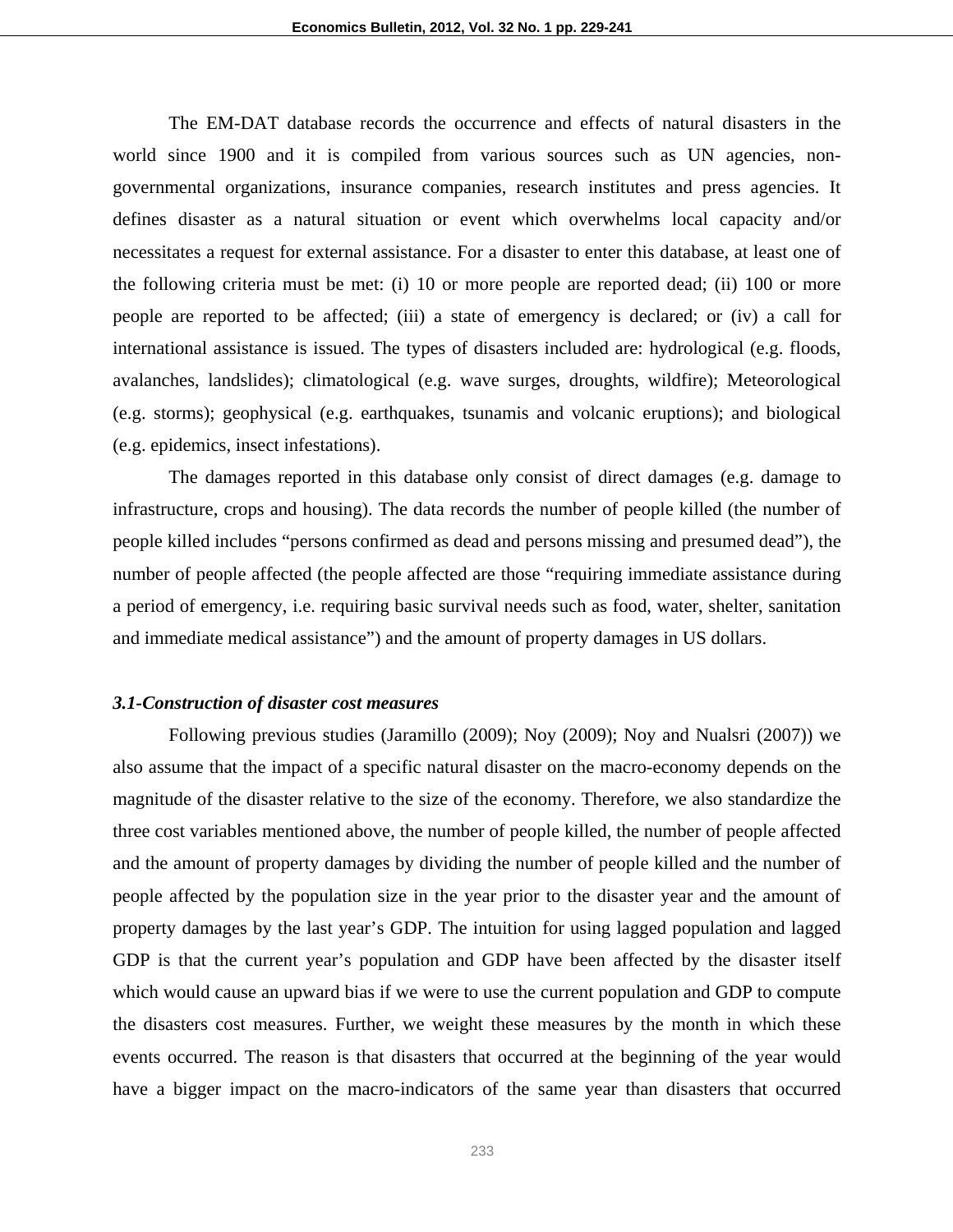The EM-DAT database records the occurrence and effects of natural disasters in the world since 1900 and it is compiled from various sources such as UN agencies, nongovernmental organizations, insurance companies, research institutes and press agencies. It defines disaster as a natural situation or event which overwhelms local capacity and/or necessitates a request for external assistance. For a disaster to enter this database, at least one of the following criteria must be met: (i) 10 or more people are reported dead; (ii) 100 or more people are reported to be affected; (iii) a state of emergency is declared; or (iv) a call for international assistance is issued. The types of disasters included are: hydrological (e.g. floods, avalanches, landslides); climatological (e.g. wave surges, droughts, wildfire); Meteorological (e.g. storms); geophysical (e.g. earthquakes, tsunamis and volcanic eruptions); and biological (e.g. epidemics, insect infestations).

The damages reported in this database only consist of direct damages (e.g. damage to infrastructure, crops and housing). The data records the number of people killed (the number of people killed includes "persons confirmed as dead and persons missing and presumed dead"), the number of people affected (the people affected are those "requiring immediate assistance during a period of emergency, i.e. requiring basic survival needs such as food, water, shelter, sanitation and immediate medical assistance") and the amount of property damages in US dollars.

### *3.1-Construction of disaster cost measures*

Following previous studies (Jaramillo (2009); Noy (2009); Noy and Nualsri (2007)) we also assume that the impact of a specific natural disaster on the macro-economy depends on the magnitude of the disaster relative to the size of the economy. Therefore, we also standardize the three cost variables mentioned above, the number of people killed, the number of people affected and the amount of property damages by dividing the number of people killed and the number of people affected by the population size in the year prior to the disaster year and the amount of property damages by the last year's GDP. The intuition for using lagged population and lagged GDP is that the current year's population and GDP have been affected by the disaster itself which would cause an upward bias if we were to use the current population and GDP to compute the disasters cost measures. Further, we weight these measures by the month in which these events occurred. The reason is that disasters that occurred at the beginning of the year would have a bigger impact on the macro-indicators of the same year than disasters that occurred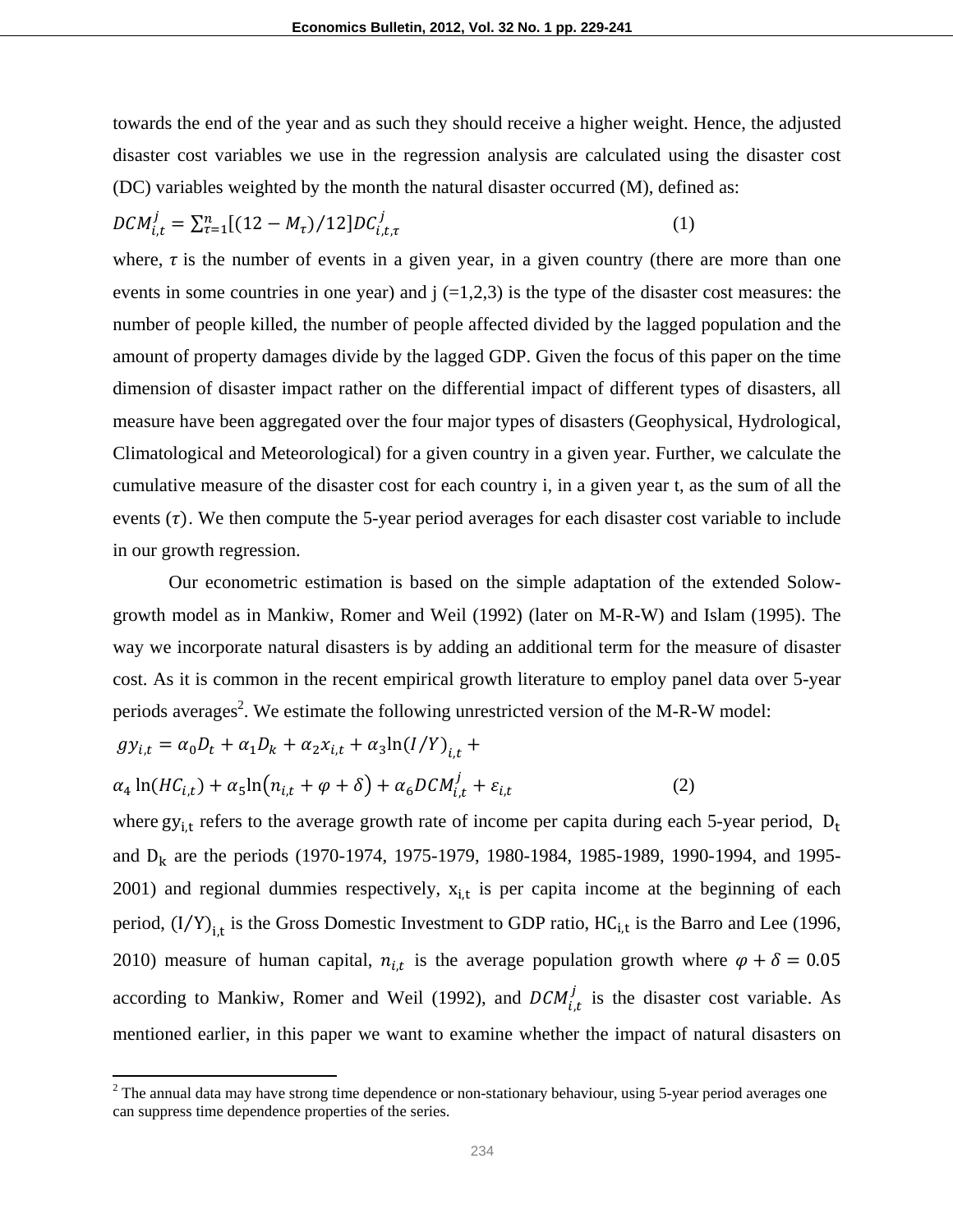towards the end of the year and as such they should receive a higher weight. Hence, the adjusted disaster cost variables we use in the regression analysis are calculated using the disaster cost (DC) variables weighted by the month the natural disaster occurred (M), defined as:

$$
DCM_{i,t}^j = \sum_{\tau=1}^n [(12 - M_{\tau})/12] DC_{i,t,\tau}^j \tag{1}
$$

where,  $\tau$  is the number of events in a given year, in a given country (there are more than one events in some countries in one year) and  $\mathfrak{j}$  (=1,2,3) is the type of the disaster cost measures: the number of people killed, the number of people affected divided by the lagged population and the amount of property damages divide by the lagged GDP. Given the focus of this paper on the time dimension of disaster impact rather on the differential impact of different types of disasters, all measure have been aggregated over the four major types of disasters (Geophysical, Hydrological, Climatological and Meteorological) for a given country in a given year. Further, we calculate the cumulative measure of the disaster cost for each country i, in a given year t, as the sum of all the events  $(\tau)$ . We then compute the 5-year period averages for each disaster cost variable to include in our growth regression.

Our econometric estimation is based on the simple adaptation of the extended Solowgrowth model as in Mankiw, Romer and Weil (1992) (later on M-R-W) and Islam (1995). The way we incorporate natural disasters is by adding an additional term for the measure of disaster cost. As it is common in the recent empirical growth literature to employ panel data over 5-year periods averages<sup>2</sup>. We estimate the following unrestricted version of the M-R-W model:

$$
gy_{i,t} = \alpha_0 D_t + \alpha_1 D_k + \alpha_2 x_{i,t} + \alpha_3 \ln(I/Y)_{i,t} +
$$
  

$$
\alpha_4 \ln(HC_{i,t}) + \alpha_5 \ln(n_{i,t} + \varphi + \delta) + \alpha_6 DCM_{i,t}^j + \varepsilon_{i,t}
$$
 (2)

where  $gy_{i,t}$  refers to the average growth rate of income per capita during each 5-year period,  $D_t$ and  $D_k$  are the periods (1970-1974, 1975-1979, 1980-1984, 1985-1989, 1990-1994, and 1995-2001) and regional dummies respectively,  $x_{i,t}$  is per capita income at the beginning of each period,  $(I/Y)_{i,t}$  is the Gross Domestic Investment to GDP ratio, HC<sub>i,t</sub> is the Barro and Lee (1996, 2010) measure of human capital,  $n_{i,t}$  is the average population growth where  $\varphi + \delta = 0.05$ according to Mankiw, Romer and Weil (1992), and  $DCM_{i,t}^j$  is the disaster cost variable. As mentioned earlier, in this paper we want to examine whether the impact of natural disasters on

 $2$  The annual data may have strong time dependence or non-stationary behaviour, using 5-year period averages one can suppress time dependence properties of the series.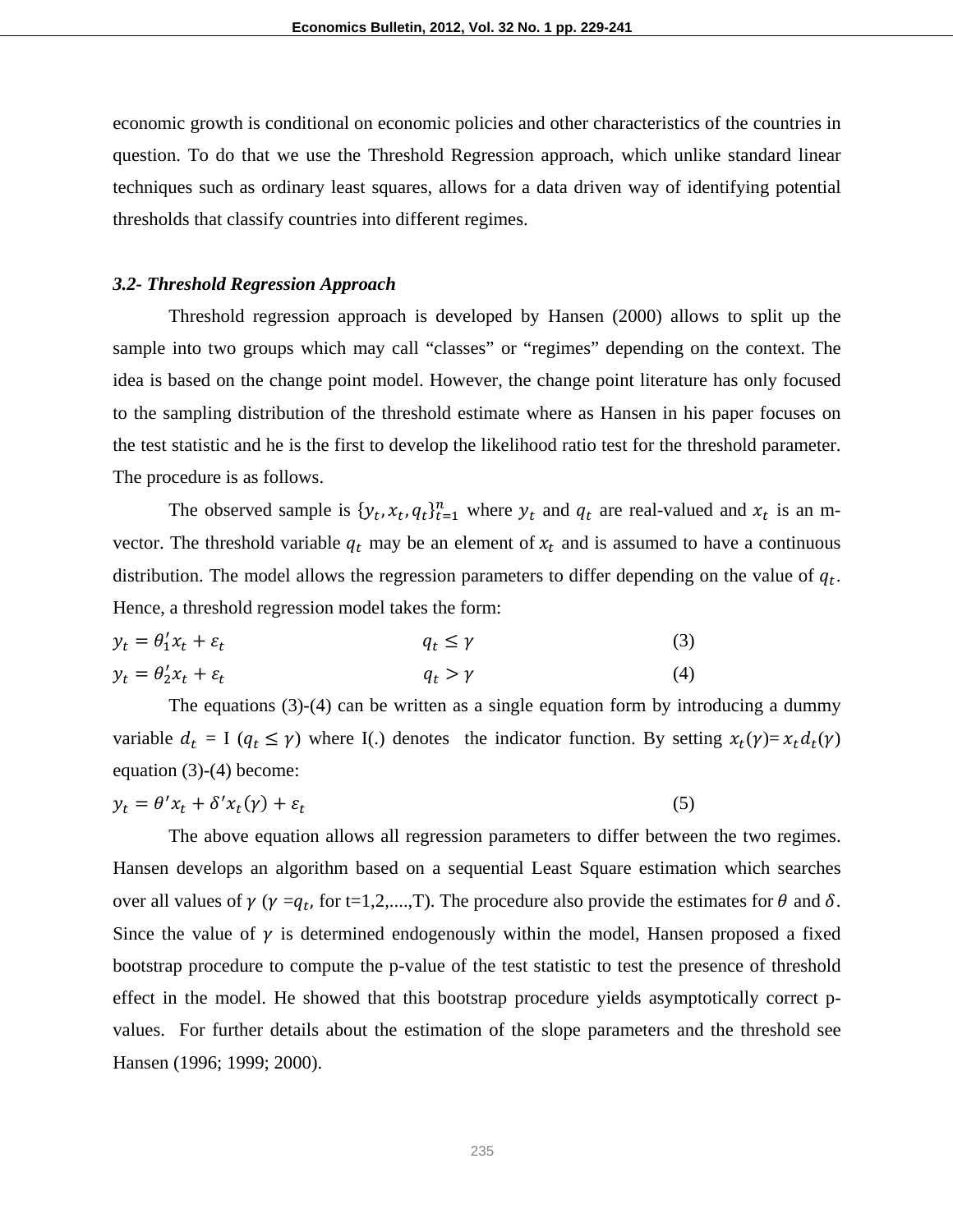economic growth is conditional on economic policies and other characteristics of the countries in question. To do that we use the Threshold Regression approach, which unlike standard linear techniques such as ordinary least squares, allows for a data driven way of identifying potential thresholds that classify countries into different regimes.

#### *3.2- Threshold Regression Approach*

Threshold regression approach is developed by Hansen (2000) allows to split up the sample into two groups which may call "classes" or "regimes" depending on the context. The idea is based on the change point model. However, the change point literature has only focused to the sampling distribution of the threshold estimate where as Hansen in his paper focuses on the test statistic and he is the first to develop the likelihood ratio test for the threshold parameter. The procedure is as follows.

The observed sample is  $\{y_t, x_t, q_t\}_{t=1}^n$  where  $y_t$  and  $q_t$  are real-valued and  $x_t$  is an mvector. The threshold variable  $q_t$  may be an element of  $x_t$  and is assumed to have a continuous distribution. The model allows the regression parameters to differ depending on the value of  $q_t$ . Hence, a threshold regression model takes the form:

$$
y_t = \theta'_1 x_t + \varepsilon_t \qquad \qquad q_t \le \gamma \qquad (3)
$$
  

$$
y_t = \theta'_2 x_t + \varepsilon_t \qquad \qquad q_t > \gamma \qquad (4)
$$

The equations (3)-(4) can be written as a single equation form by introducing a dummy variable  $d_t = I$  ( $q_t \leq \gamma$ ) where I(.) denotes the indicator function. By setting  $x_t(\gamma) = x_t d_t(\gamma)$ equation (3)-(4) become:

$$
y_t = \theta' x_t + \delta' x_t(\gamma) + \varepsilon_t \tag{5}
$$

The above equation allows all regression parameters to differ between the two regimes. Hansen develops an algorithm based on a sequential Least Square estimation which searches over all values of  $\gamma$  ( $\gamma = q_t$ , for t=1,2,...,T). The procedure also provide the estimates for  $\theta$  and  $\delta$ . Since the value of  $\gamma$  is determined endogenously within the model, Hansen proposed a fixed bootstrap procedure to compute the p-value of the test statistic to test the presence of threshold effect in the model. He showed that this bootstrap procedure yields asymptotically correct pvalues. For further details about the estimation of the slope parameters and the threshold see Hansen (1996; 1999; 2000).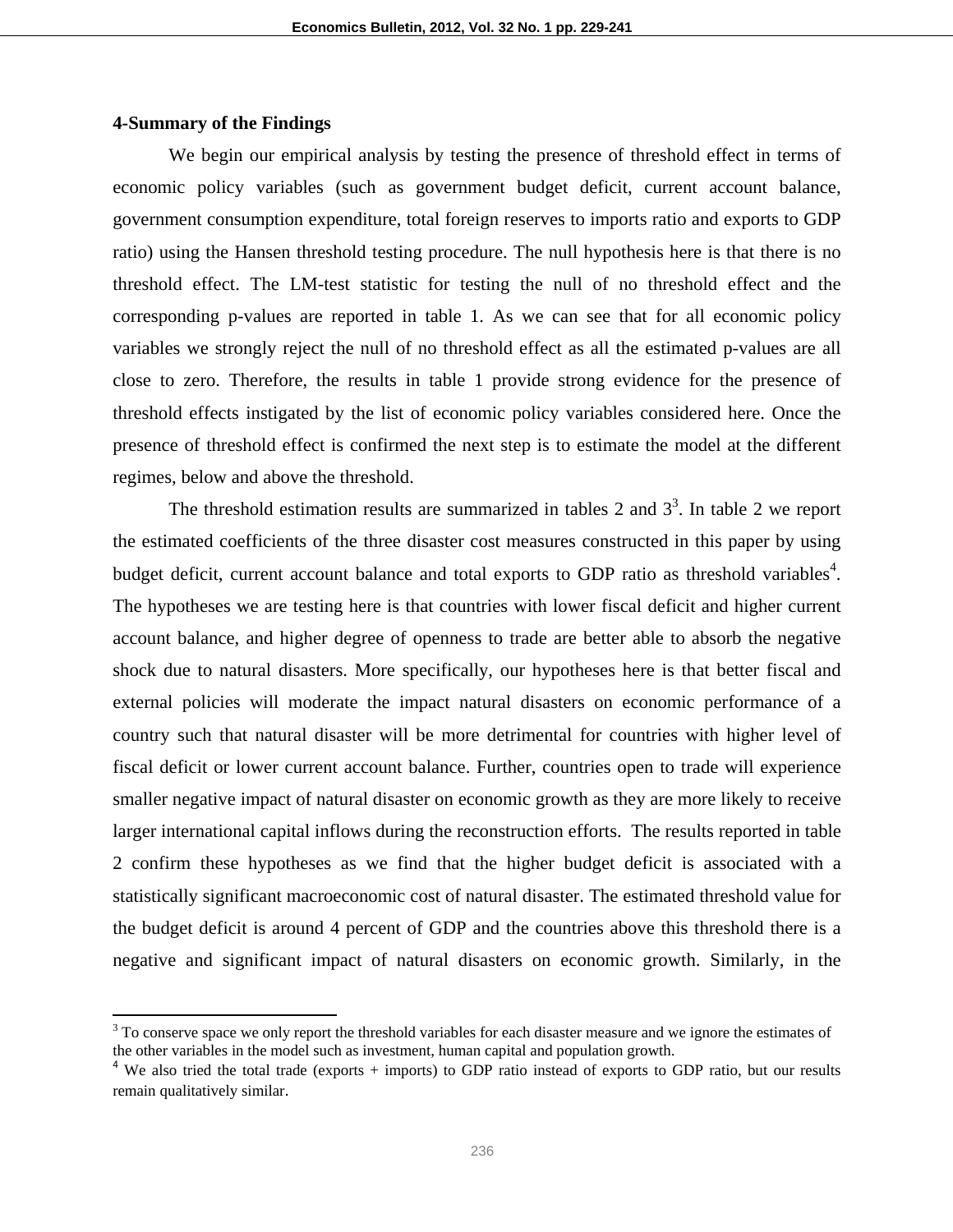# **4-Summary of the Findings**

We begin our empirical analysis by testing the presence of threshold effect in terms of economic policy variables (such as government budget deficit, current account balance, government consumption expenditure, total foreign reserves to imports ratio and exports to GDP ratio) using the Hansen threshold testing procedure. The null hypothesis here is that there is no threshold effect. The LM-test statistic for testing the null of no threshold effect and the corresponding p-values are reported in table 1. As we can see that for all economic policy variables we strongly reject the null of no threshold effect as all the estimated p-values are all close to zero. Therefore, the results in table 1 provide strong evidence for the presence of threshold effects instigated by the list of economic policy variables considered here. Once the presence of threshold effect is confirmed the next step is to estimate the model at the different regimes, below and above the threshold.

The threshold estimation results are summarized in tables 2 and  $3<sup>3</sup>$ . In table 2 we report the estimated coefficients of the three disaster cost measures constructed in this paper by using budget deficit, current account balance and total exports to GDP ratio as threshold variables<sup>4</sup>. The hypotheses we are testing here is that countries with lower fiscal deficit and higher current account balance, and higher degree of openness to trade are better able to absorb the negative shock due to natural disasters. More specifically, our hypotheses here is that better fiscal and external policies will moderate the impact natural disasters on economic performance of a country such that natural disaster will be more detrimental for countries with higher level of fiscal deficit or lower current account balance. Further, countries open to trade will experience smaller negative impact of natural disaster on economic growth as they are more likely to receive larger international capital inflows during the reconstruction efforts. The results reported in table 2 confirm these hypotheses as we find that the higher budget deficit is associated with a statistically significant macroeconomic cost of natural disaster. The estimated threshold value for the budget deficit is around 4 percent of GDP and the countries above this threshold there is a negative and significant impact of natural disasters on economic growth. Similarly, in the

 $3$  To conserve space we only report the threshold variables for each disaster measure and we ignore the estimates of the other variables in the model such as investment, human capital and population growth.

<sup>&</sup>lt;sup>4</sup> We also tried the total trade (exports + imports) to GDP ratio instead of exports to GDP ratio, but our results remain qualitatively similar.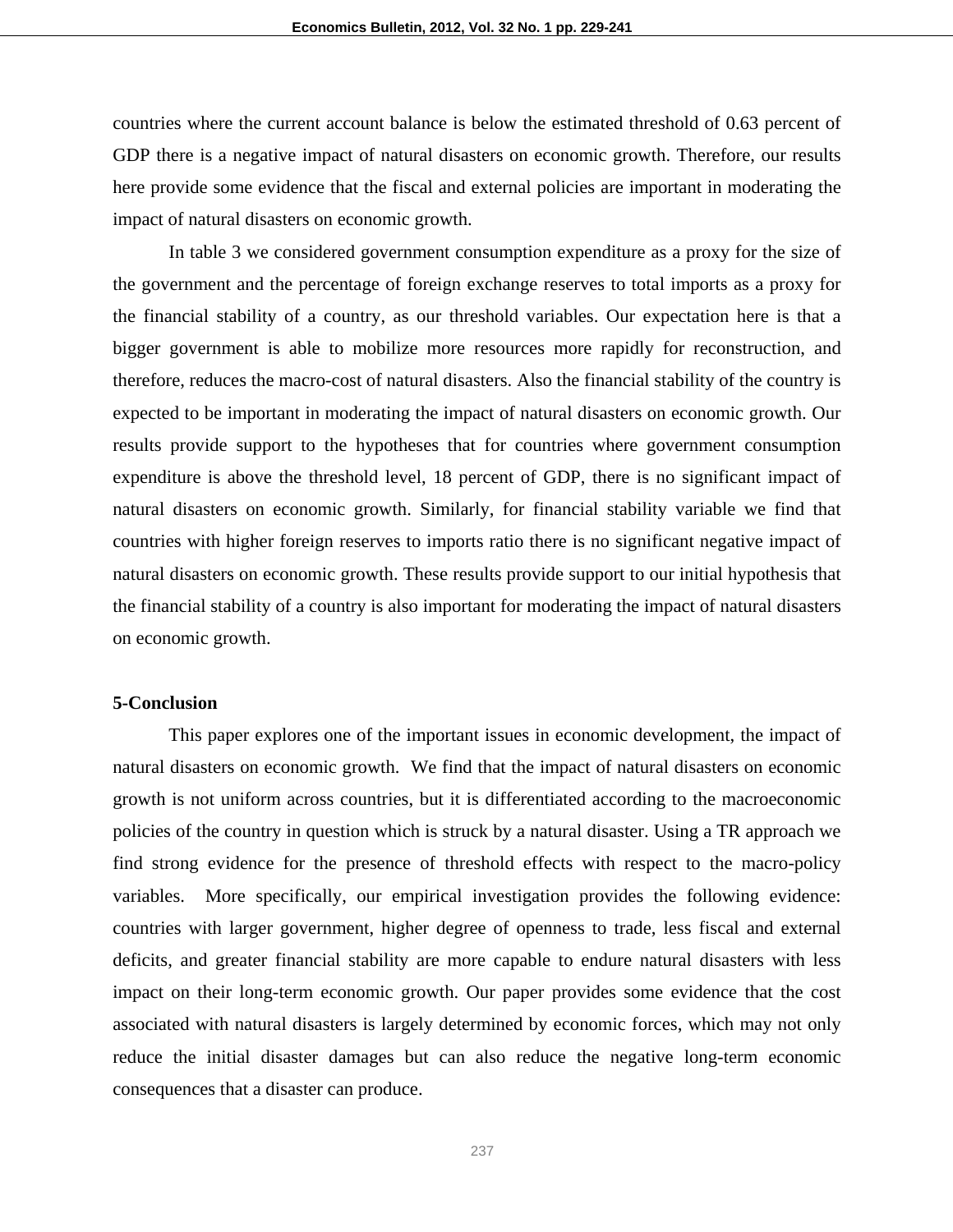countries where the current account balance is below the estimated threshold of 0.63 percent of GDP there is a negative impact of natural disasters on economic growth. Therefore, our results here provide some evidence that the fiscal and external policies are important in moderating the impact of natural disasters on economic growth.

 In table 3 we considered government consumption expenditure as a proxy for the size of the government and the percentage of foreign exchange reserves to total imports as a proxy for the financial stability of a country, as our threshold variables. Our expectation here is that a bigger government is able to mobilize more resources more rapidly for reconstruction, and therefore, reduces the macro-cost of natural disasters. Also the financial stability of the country is expected to be important in moderating the impact of natural disasters on economic growth. Our results provide support to the hypotheses that for countries where government consumption expenditure is above the threshold level, 18 percent of GDP, there is no significant impact of natural disasters on economic growth. Similarly, for financial stability variable we find that countries with higher foreign reserves to imports ratio there is no significant negative impact of natural disasters on economic growth. These results provide support to our initial hypothesis that the financial stability of a country is also important for moderating the impact of natural disasters on economic growth.

### **5-Conclusion**

This paper explores one of the important issues in economic development, the impact of natural disasters on economic growth. We find that the impact of natural disasters on economic growth is not uniform across countries, but it is differentiated according to the macroeconomic policies of the country in question which is struck by a natural disaster. Using a TR approach we find strong evidence for the presence of threshold effects with respect to the macro-policy variables. More specifically, our empirical investigation provides the following evidence: countries with larger government, higher degree of openness to trade, less fiscal and external deficits, and greater financial stability are more capable to endure natural disasters with less impact on their long-term economic growth. Our paper provides some evidence that the cost associated with natural disasters is largely determined by economic forces, which may not only reduce the initial disaster damages but can also reduce the negative long-term economic consequences that a disaster can produce.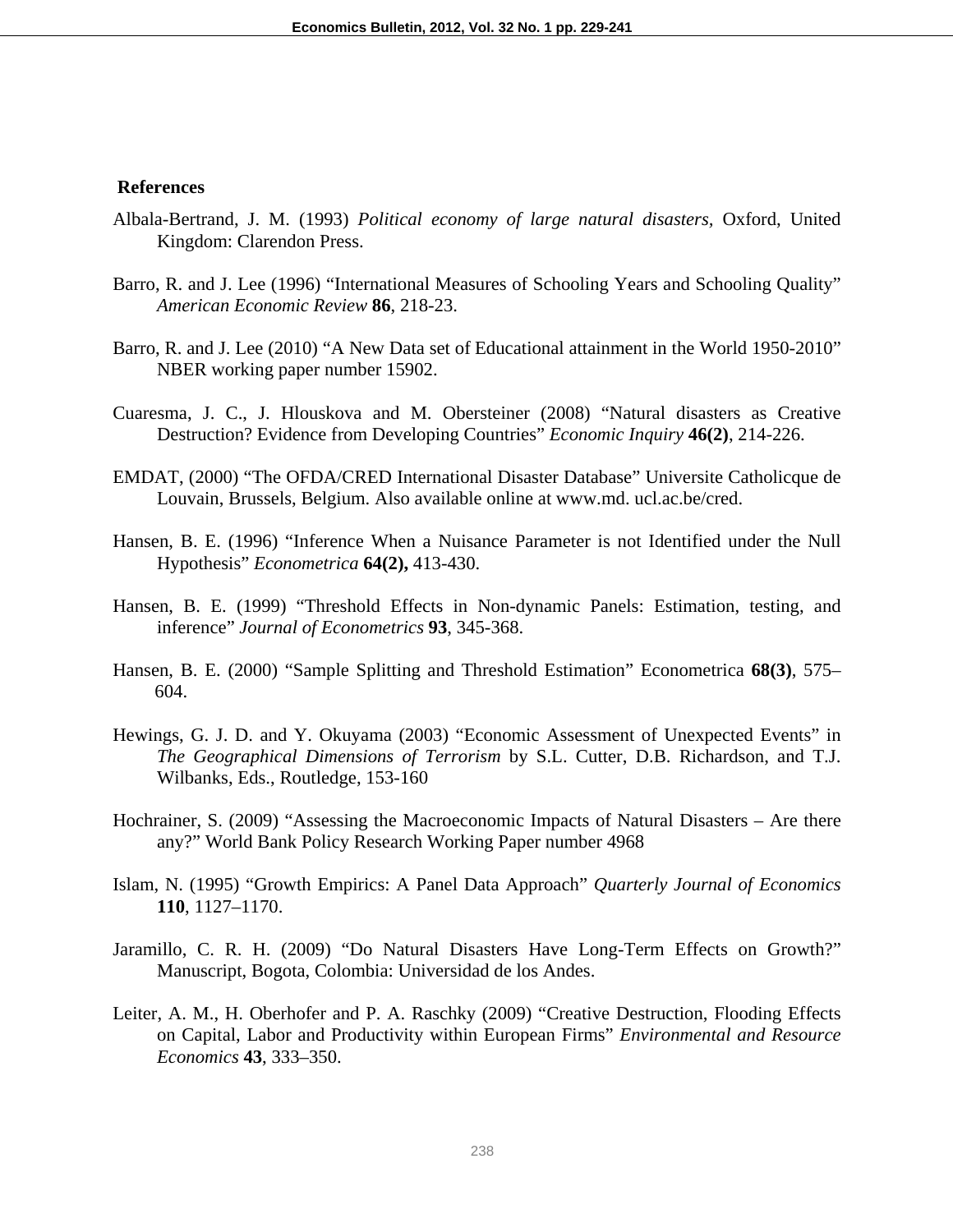# **References**

- Albala-Bertrand, J. M. (1993) *Political economy of large natural disasters,* Oxford, United Kingdom: Clarendon Press.
- Barro, R. and J. Lee (1996) "International Measures of Schooling Years and Schooling Quality" *American Economic Review* **86**, 218-23.
- Barro, R. and J. Lee (2010) "A New Data set of Educational attainment in the World 1950-2010" NBER working paper number 15902.
- Cuaresma, J. C., J. Hlouskova and M. Obersteiner (2008) "Natural disasters as Creative Destruction? Evidence from Developing Countries" *Economic Inquiry* **46(2)**, 214-226.
- EMDAT, (2000) "The OFDA/CRED International Disaster Database" Universite Catholicque de Louvain, Brussels, Belgium. Also available online at www.md. ucl.ac.be/cred.
- Hansen, B. E. (1996) "Inference When a Nuisance Parameter is not Identified under the Null Hypothesis" *Econometrica* **64(2),** 413-430.
- Hansen, B. E. (1999) "Threshold Effects in Non-dynamic Panels: Estimation, testing, and inference" *Journal of Econometrics* **93**, 345-368.
- Hansen, B. E. (2000) "Sample Splitting and Threshold Estimation" Econometrica **68(3)**, 575– 604.
- Hewings, G. J. D. and Y. Okuyama (2003) "Economic Assessment of Unexpected Events" in *The Geographical Dimensions of Terrorism* by S.L. Cutter, D.B. Richardson, and T.J. Wilbanks, Eds., Routledge, 153-160
- Hochrainer, S. (2009) "Assessing the Macroeconomic Impacts of Natural Disasters Are there any?" World Bank Policy Research Working Paper number 4968
- Islam, N. (1995) "Growth Empirics: A Panel Data Approach" *Quarterly Journal of Economics* **110**, 1127–1170.
- Jaramillo, C. R. H. (2009) "Do Natural Disasters Have Long-Term Effects on Growth?" Manuscript, Bogota, Colombia: Universidad de los Andes.
- Leiter, A. M., H. Oberhofer and P. A. Raschky (2009) "Creative Destruction, Flooding Effects on Capital, Labor and Productivity within European Firms" *Environmental and Resource Economics* **43**, 333–350.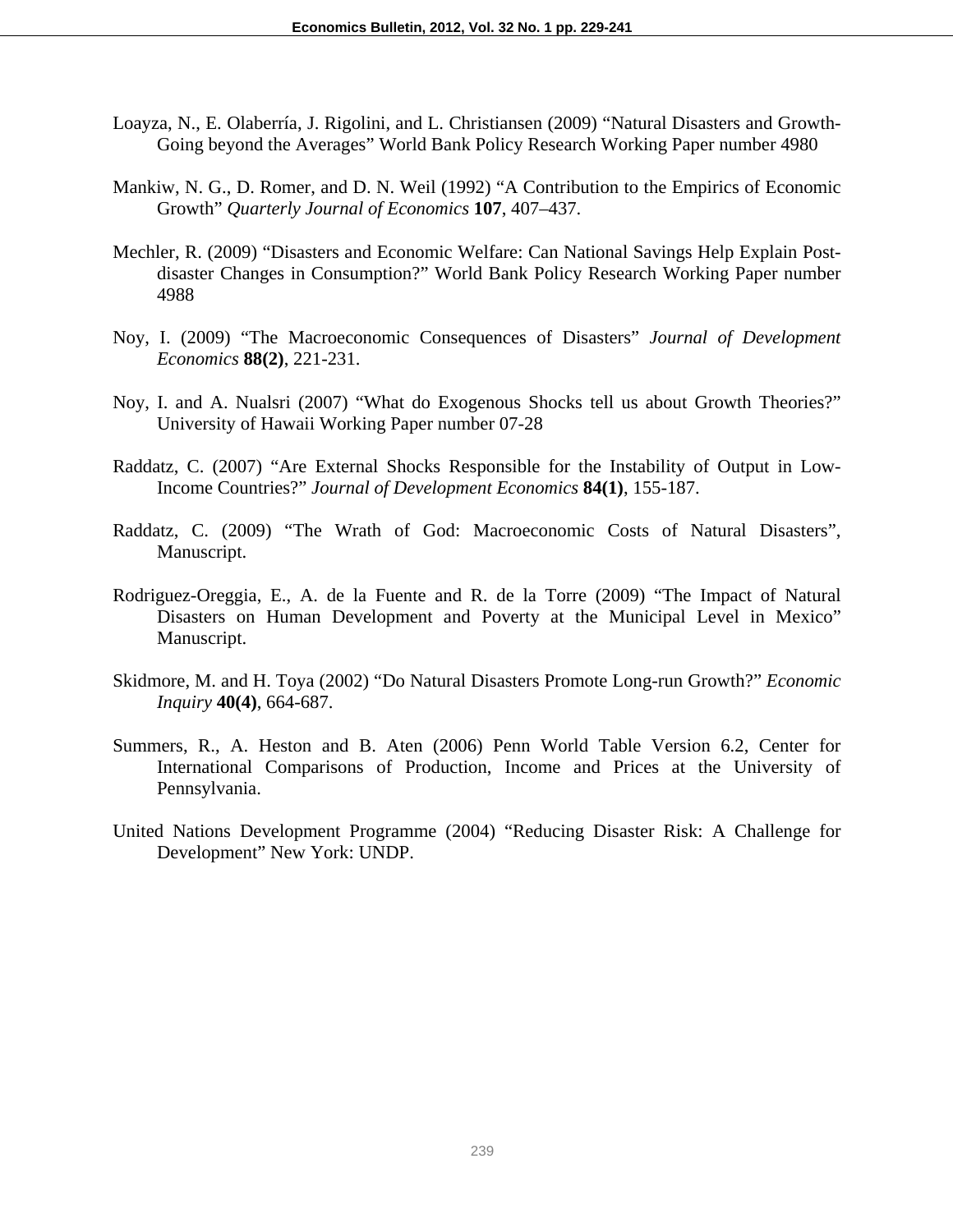- Loayza, N., E. Olaberría, J. Rigolini, and L. Christiansen (2009) "Natural Disasters and Growth-Going beyond the Averages" World Bank Policy Research Working Paper number 4980
- Mankiw, N. G., D. Romer, and D. N. Weil (1992) "A Contribution to the Empirics of Economic Growth" *Quarterly Journal of Economics* **107**, 407–437.
- Mechler, R. (2009) "Disasters and Economic Welfare: Can National Savings Help Explain Postdisaster Changes in Consumption?" World Bank Policy Research Working Paper number 4988
- Noy, I. (2009) "The Macroeconomic Consequences of Disasters" *Journal of Development Economics* **88(2)**, 221-231.
- Noy, I. and A. Nualsri (2007) "What do Exogenous Shocks tell us about Growth Theories?" University of Hawaii Working Paper number 07-28
- Raddatz, C. (2007) "Are External Shocks Responsible for the Instability of Output in Low-Income Countries?" *Journal of Development Economics* **84(1)**, 155-187.
- Raddatz, C. (2009) "The Wrath of God: Macroeconomic Costs of Natural Disasters", Manuscript.
- Rodriguez-Oreggia, E., A. de la Fuente and R. de la Torre (2009) "The Impact of Natural Disasters on Human Development and Poverty at the Municipal Level in Mexico" Manuscript.
- Skidmore, M. and H. Toya (2002) "Do Natural Disasters Promote Long-run Growth?" *Economic Inquiry* **40(4)**, 664-687.
- Summers, R., A. Heston and B. Aten (2006) Penn World Table Version 6.2, Center for International Comparisons of Production, Income and Prices at the University of Pennsylvania.
- United Nations Development Programme (2004) "Reducing Disaster Risk: A Challenge for Development" New York: UNDP.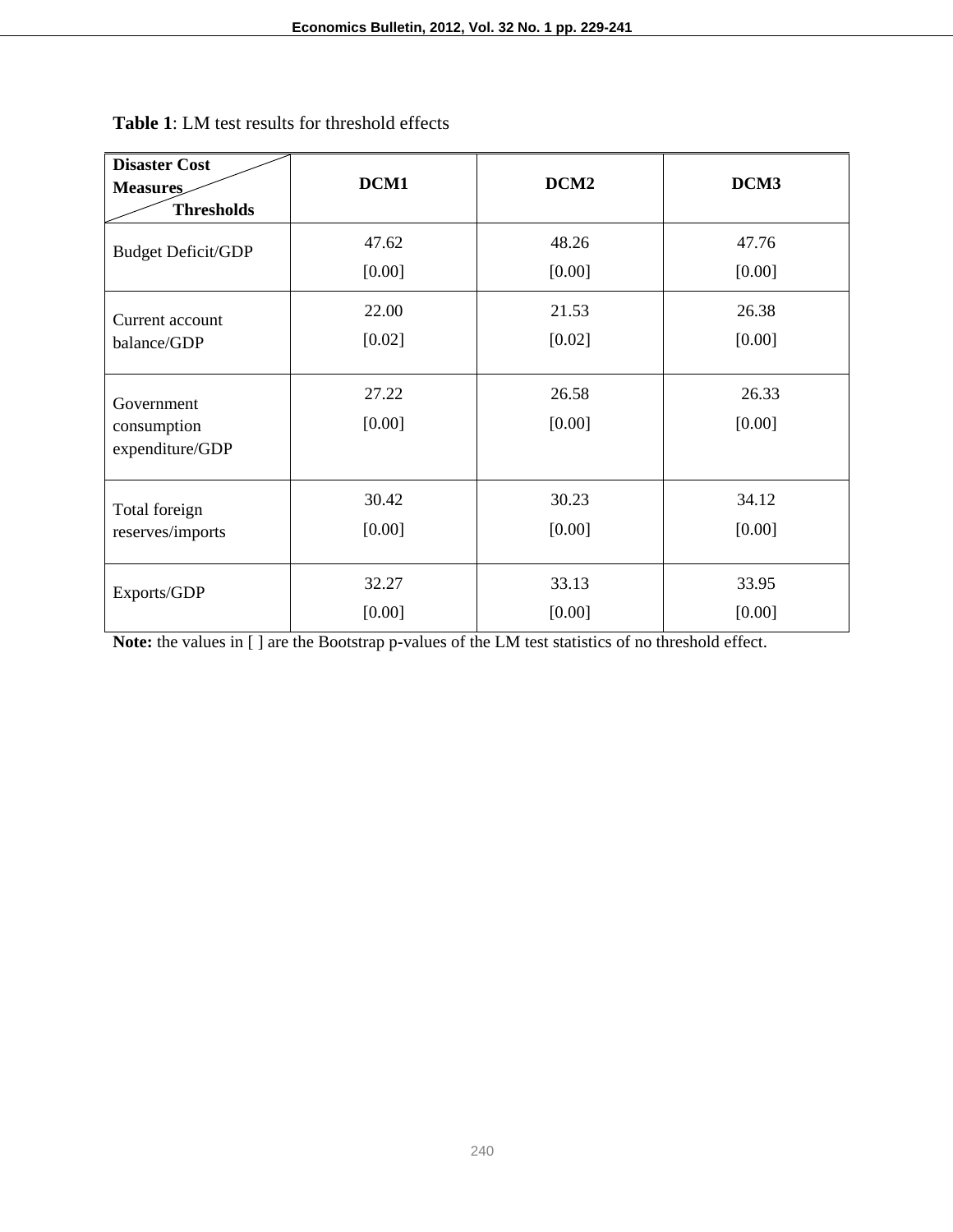| <b>Disaster Cost</b><br><b>Measures</b><br><b>Thresholds</b> | DCM1            | DCM <sub>2</sub> | DCM3            |
|--------------------------------------------------------------|-----------------|------------------|-----------------|
| <b>Budget Deficit/GDP</b>                                    | 47.62           | 48.26            | 47.76           |
|                                                              | [0.00]          | [0.00]           | [0.00]          |
| Current account                                              | 22.00           | 21.53            | 26.38           |
| balance/GDP                                                  | [0.02]          | [0.02]           | [0.00]          |
| Government<br>consumption<br>expenditure/GDP                 | 27.22<br>[0.00] | 26.58<br>[0.00]  | 26.33<br>[0.00] |
| Total foreign                                                | 30.42           | 30.23            | 34.12           |
| reserves/imports                                             | [0.00]          | [0.00]           | [0.00]          |
| Exports/GDP                                                  | 32.27           | 33.13            | 33.95           |
|                                                              | [0.00]          | [0.00]           | [0.00]          |

**Table 1**: LM test results for threshold effects

**Note:** the values in [ ] are the Bootstrap p-values of the LM test statistics of no threshold effect.